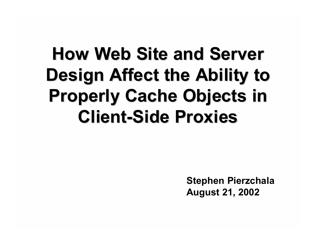# **How Web Site and Server Design Affect the Ability to Properly Cache Objects in Client-Side Proxies**

**Stephen Pierzchala August 21, 2002**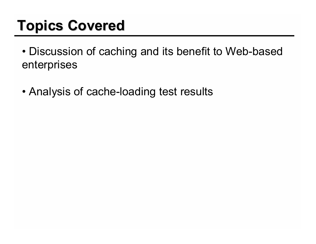### **Topics Covered**

- Discussion of caching and its benefit to Web-based enterprises
- Analysis of cache-loading test results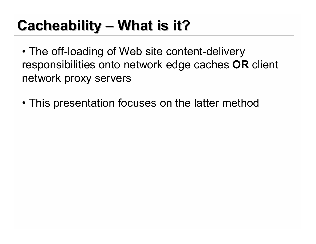## **Cacheability – What is it?**

- The off-loading of Web site content-delivery responsibilities onto network edge caches **OR** client network proxy servers
- This presentation focuses on the latter method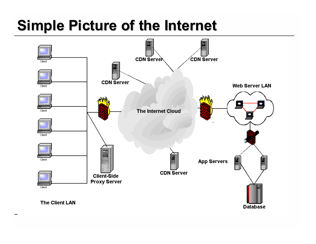#### **Simple Picture of the Internet**

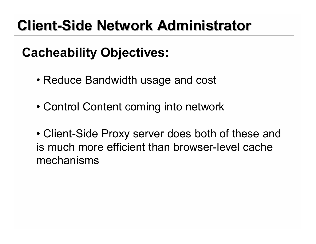### **Client-Side Network Administrator**

#### **Cacheability Objectives:**

- Reduce Bandwidth usage and cost
- Control Content coming into network

• Client-Side Proxy server does both of these and is much more efficient than browser-level cache mechanisms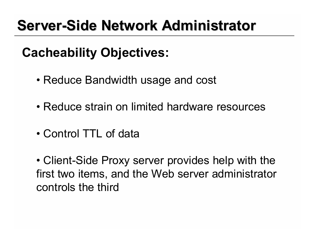### **Server-Side Network Administrator**

#### **Cacheability Objectives:**

- Reduce Bandwidth usage and cost
- Reduce strain on limited hardware resources
- Control TTL of data

• Client-Side Proxy server provides help with the first two items, and the Web server administrator controls the third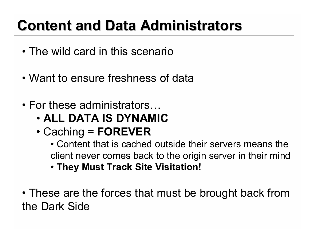## **Content and Data Administrators**

- The wild card in this scenario
- Want to ensure freshness of data
- For these administrators…
	- **ALL DATA IS DYNAMIC**
	- Caching = **FOREVER**

• Content that is cached outside their servers means the client never comes back to the origin server in their mind

- **They Must Track Site Visitation!**
- These are the forces that must be brought back from the Dark Side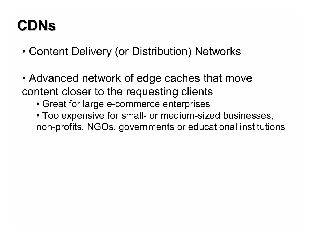### **CDNs**

- Content Delivery (or Distribution) Networks
- Advanced network of edge caches that move content closer to the requesting clients
	- Great for large e-commerce enterprises
	- Too expensive for small- or medium-sized businesses, non-profits, NGOs, governments or educational institutions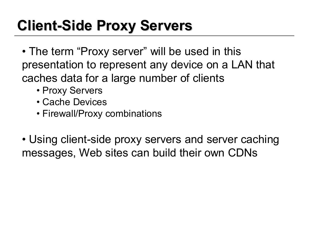### **Client-Side Proxy Servers**

- The term "Proxy server" will be used in this presentation to represent any device on a LAN that caches data for a large number of clients
	- Proxy Servers
	- Cache Devices
	- Firewall/Proxy combinations
- Using client-side proxy servers and server caching messages, Web sites can build their own CDNs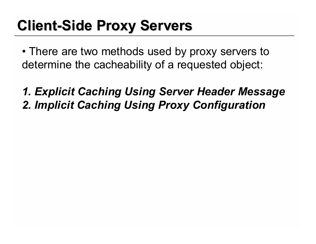#### **Client-Side Proxy Servers**

• There are two methods used by proxy servers to determine the cacheability of a requested object:

*1. Explicit Caching Using Server Header Message 2. Implicit Caching Using Proxy Configuration*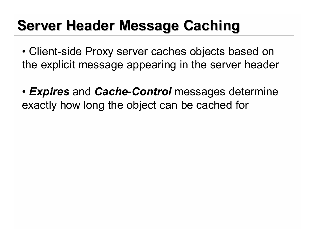### **Server Header Message Caching**

- Client-side Proxy server caches objects based on the explicit message appearing in the server header
- *Expires* and *Cache-Control* messages determine exactly how long the object can be cached for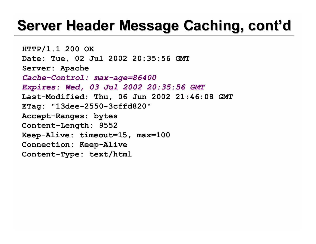#### **Server Header Message Caching, cont'd**

**HTTP/1.1 200 OK Date: Tue, 02 Jul 2002 20:35:56 GMT Server: Apache**  *Cache-Control: max-age=86400 Expires: Wed, 03 Jul 2002 20:35:56 GMT*  **Last-Modified: Thu, 06 Jun 2002 21:46:08 GMT ETag: "13dee-2550-3cffd820" Accept-Ranges: bytes Content-Length: 9552 Keep-Alive: timeout=15, max=100 Connection: Keep-Alive Content-Type: text/html**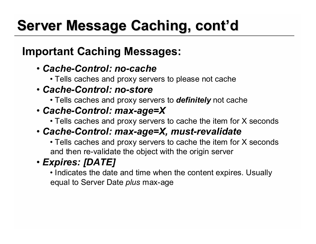# **Server Message Caching, cont'd**

#### **Important Caching Messages:**

- *Cache-Control: no-cache*
	- Tells caches and proxy servers to please not cache
- *Cache-Control: no-store*
	- Tells caches and proxy servers to *definitely* not cache
- *Cache-Control: max-age=X*
	- Tells caches and proxy servers to cache the item for X seconds

#### • *Cache-Control: max-age=X, must-revalidate*

• Tells caches and proxy servers to cache the item for X seconds and then re-validate the object with the origin server

#### • *Expires: [DATE]*

• Indicates the date and time when the content expires. Usually equal to Server Date *plus* max-age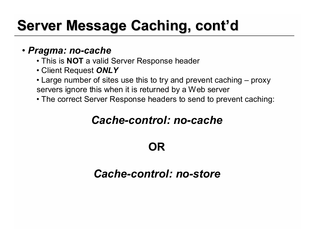## **Server Message Caching, cont'd**

#### • *Pragma: no-cache*

- This is **NOT** a valid Server Response header
- Client Request *ONLY*
- Large number of sites use this to try and prevent caching proxy servers ignore this when it is returned by a Web server
- The correct Server Response headers to send to prevent caching:

#### *Cache-control: no-cache*

#### **OR**

#### *Cache-control: no-store*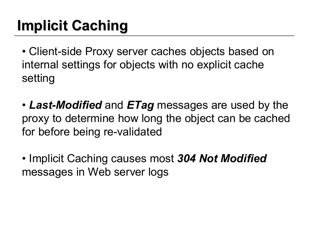# **Implicit Caching**

• Client-side Proxy server caches objects based on internal settings for objects with no explicit cache setting

- *Last-Modified* and *ETag* messages are used by the proxy to determine how long the object can be cached for before being re-validated
- Implicit Caching causes most *304 Not Modified* messages in Web server logs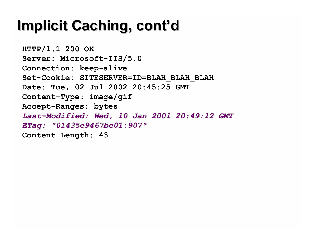### **Implicit Caching, cont'd**

**HTTP/1.1 200 OK Server: Microsoft-IIS/5.0 Connection: keep-alive Set-Cookie: SITESERVER=ID=BLAH\_BLAH\_BLAH Date: Tue, 02 Jul 2002 20:45:25 GMT Content-Type: image/gif Accept-Ranges: bytes** *Last-Modified: Wed, 10 Jan 2001 20:49:12 GMT ETag: "01435c9467bc01:907"* **Content-Length: 43**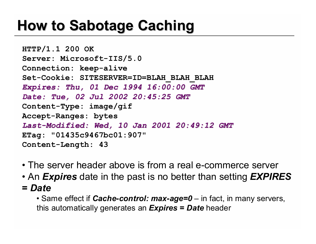#### **How to Sabotage Caching**

**HTTP/1.1 200 OK Server: Microsoft-IIS/5.0 Connection: keep-alive Set-Cookie: SITESERVER=ID=BLAH\_BLAH\_BLAH** *Expires: Thu, 01 Dec 1994 16:00:00 GMT Date: Tue, 02 Jul 2002 20:45:25 GMT* **Content-Type: image/gif Accept-Ranges: bytes** *Last-Modified: Wed, 10 Jan 2001 20:49:12 GMT* **ETag: "01435c9467bc01:907" Content-Length: 43**

- The server header above is from a real e-commerce server
- An *Expires* date in the past is no better than setting *EXPIRES*
- **=** *Date*

• Same effect if *Cache-control: max-age=0* – in fact, in many servers, this automatically generates an *Expires* **=** *Date* header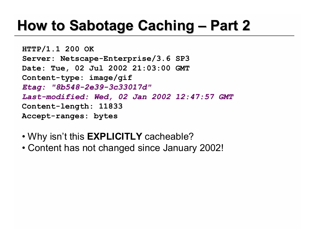### **How to Sabotage Caching – Part 2**

**HTTP/1.1 200 OK Server: Netscape-Enterprise/3.6 SP3 Date: Tue, 02 Jul 2002 21:03:00 GMT Content-type: image/gif** *Etag: "8b548-2e39-3c33017d" Last-modified: Wed, 02 Jan 2002 12:47:57 GMT* **Content-length: 11833 Accept-ranges: bytes**

- Why isn't this **EXPLICITLY** cacheable?
- Content has not changed since January 2002!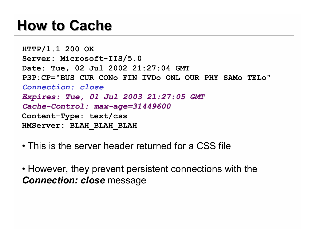#### **How to Cache**

**HTTP/1.1 200 OK Server: Microsoft-IIS/5.0 Date: Tue, 02 Jul 2002 21:27:04 GMT P3P:CP="BUS CUR CONo FIN IVDo ONL OUR PHY SAMo TELo"** *Connection: close Expires: Tue, 01 Jul 2003 21:27:05 GMT Cache-Control: max-age=31449600* **Content-Type: text/css HMServer: BLAH\_BLAH\_BLAH**

- This is the server header returned for a CSS file
- However, they prevent persistent connections with the *Connection: close* message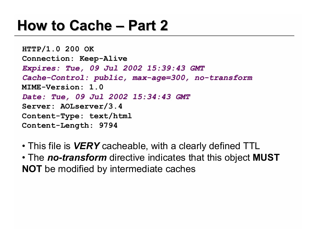#### **How to Cache – Part 2**

**HTTP/1.0 200 OK Connection: Keep-Alive**  *Expires: Tue, 09 Jul 2002 15:39:43 GMT Cache-Control: public, max-age=300, no-transform* **MIME-Version: 1.0**  *Date: Tue, 09 Jul 2002 15:34:43 GMT* **Server: AOLserver/3.4 Content-Type: text/html Content-Length: 9794**

- This file is *VERY* cacheable, with a clearly defined TTL
- The *no-transform* directive indicates that this object **MUST NOT** be modified by intermediate caches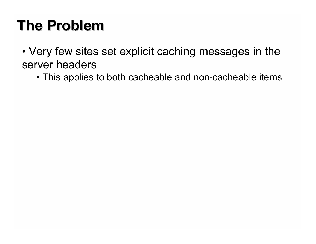## **The Problem**

• Very few sites set explicit caching messages in the server headers

• This applies to both cacheable and non-cacheable items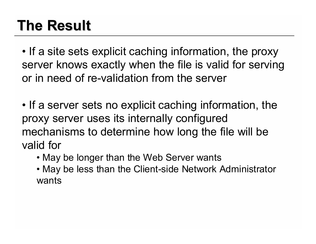## **The Result**

• If a site sets explicit caching information, the proxy server knows exactly when the file is valid for serving or in need of re-validation from the server

- If a server sets no explicit caching information, the proxy server uses its internally configured mechanisms to determine how long the file will be valid for
	- May be longer than the Web Server wants
	- May be less than the Client-side Network Administrator wants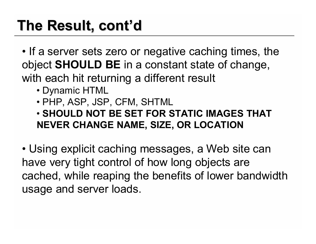## **The Result, cont'd**

• If a server sets zero or negative caching times, the object **SHOULD BE** in a constant state of change, with each hit returning a different result

- Dynamic HTML
- PHP, ASP, JSP, CFM, SHTML

• **SHOULD NOT BE SET FOR STATIC IMAGES THAT NEVER CHANGE NAME, SIZE, OR LOCATION**

• Using explicit caching messages, a Web site can have very tight control of how long objects are cached, while reaping the benefits of lower bandwidth usage and server loads.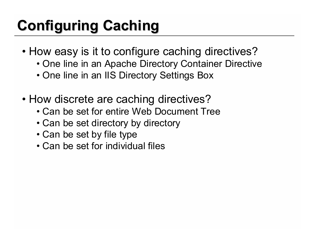# **Configuring Caching**

- How easy is it to configure caching directives?
	- One line in an Apache Directory Container Directive
	- One line in an IIS Directory Settings Box
- How discrete are caching directives?
	- Can be set for entire Web Document Tree
	- Can be set directory by directory
	- Can be set by file type
	- Can be set for individual files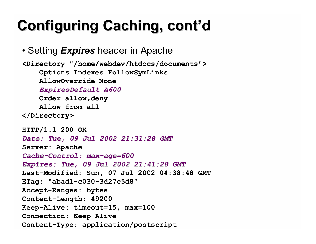# **Configuring Caching, cont'd**

• Setting *Expires* header in Apache

```
<Directory "/home/webdev/htdocs/documents">
    Options Indexes FollowSymLinks
    AllowOverride None
    ExpiresDefault A600
    Order allow,deny
    Allow from all
</Directory>
HTTP/1.1 200 OK 
Date: Tue, 09 Jul 2002 21:31:28 GMT
Server: Apache 
Cache-Control: max-age=600 
Expires: Tue, 09 Jul 2002 21:41:28 GMT 
Last-Modified: Sun, 07 Jul 2002 04:38:48 GMT 
ETag: "abad1-c030-3d27c5d8" 
Accept-Ranges: bytes 
Content-Length: 49200 
Keep-Alive: timeout=15, max=100 
Connection: Keep-Alive 
Content-Type: application/postscript
```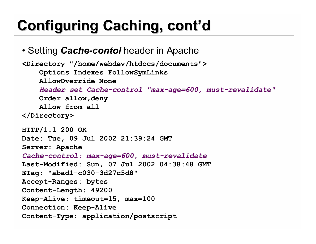# **Configuring Caching, cont'd**

• Setting *Cache-contol* header in Apache

```
<Directory "/home/webdev/htdocs/documents">
    Options Indexes FollowSymLinks
    AllowOverride None
    Header set Cache-control "max-age=600, must-revalidate"
    Order allow,deny
    Allow from all
</Directory>
HTTP/1.1 200 OK 
Date: Tue, 09 Jul 2002 21:39:24 GMT 
Server: Apache 
Cache-control: max-age=600, must-revalidate
Last-Modified: Sun, 07 Jul 2002 04:38:48 GMT 
ETag: "abad1-c030-3d27c5d8" 
Accept-Ranges: bytes 
Content-Length: 49200 
Keep-Alive: timeout=15, max=100 
Connection: Keep-Alive 
Content-Type: application/postscript
```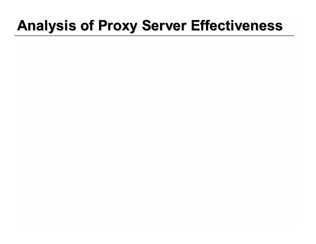#### **Analysis of Proxy Server Effectiveness**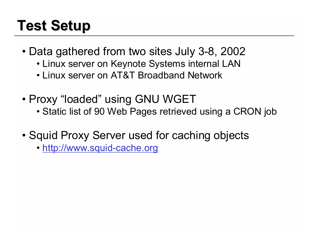## **Test Setup**

- Data gathered from two sites July 3-8, 2002
	- Linux server on Keynote Systems internal LAN
	- Linux server on AT&T Broadband Network
- Proxy "loaded" using GNU WGET
	- Static list of 90 Web Pages retrieved using a CRON job
- Squid Proxy Server used for caching objects
	- http://www.squid-cache.org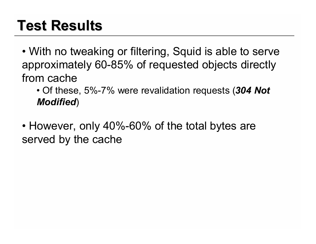### **Test Results**

• With no tweaking or filtering, Squid is able to serve approximately 60-85% of requested objects directly from cache

• Of these, 5%-7% were revalidation requests (*304 Not Modified*)

• However, only 40%-60% of the total bytes are served by the cache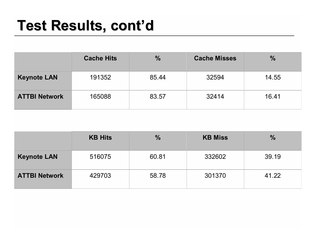#### **Test Results, cont'd**

|                      | <b>Cache Hits</b> | $\frac{9}{6}$ | <b>Cache Misses</b> | $\frac{0}{0}$ |
|----------------------|-------------------|---------------|---------------------|---------------|
| <b>Keynote LAN</b>   | 191352            | 85.44         | 32594               | 14.55         |
| <b>ATTBI Network</b> | 165088            | 83.57         | 32414               | 16.41         |

|                      | <b>KB Hits</b> | $\%$  | <b>KB Miss</b> | $\frac{0}{0}$ |
|----------------------|----------------|-------|----------------|---------------|
| <b>Keynote LAN</b>   | 516075         | 60.81 | 332602         | 39.19         |
| <b>ATTBI Network</b> | 429703         | 58.78 | 301370         | 41.22         |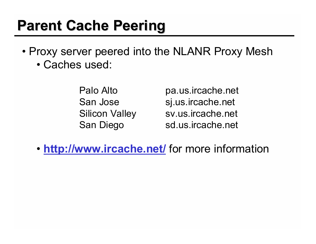#### **Parent Cache Peering**

- Proxy server peered into the NLANR Proxy Mesh
	- Caches used:

Palo Alto **pa.us.ircache.net** San Jose sj.us.ircache.net Silicon Valley sv.us.ircache.net San Diego sd.us.ircache.net

• **http://www.ircache.net/** for more information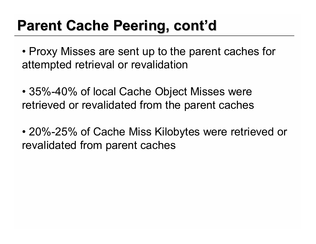### **Parent Cache Peering, cont'd**

- Proxy Misses are sent up to the parent caches for attempted retrieval or revalidation
- 35%-40% of local Cache Object Misses were retrieved or revalidated from the parent caches
- 20%-25% of Cache Miss Kilobytes were retrieved or revalidated from parent caches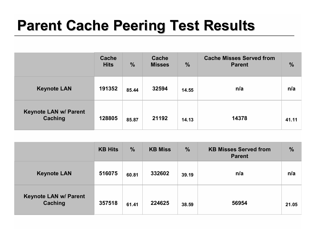#### **Parent Cache Peering Test Results**

|                                         | <b>Cache</b><br><b>Hits</b> | $\frac{0}{0}$ | <b>Cache</b><br><b>Misses</b> | $\frac{0}{0}$ | <b>Cache Misses Served from</b><br><b>Parent</b> | $\frac{0}{2}$ |
|-----------------------------------------|-----------------------------|---------------|-------------------------------|---------------|--------------------------------------------------|---------------|
| <b>Keynote LAN</b>                      | 191352                      | 85.44         | 32594                         | 14.55         | n/a                                              | n/a           |
| <b>Keynote LAN w/ Parent</b><br>Caching | 128805                      | 85.87         | 21192                         | 14.13         | 14378                                            | 41.11         |

|                                         | <b>KB Hits</b> | $\frac{1}{2}$ | <b>KB Miss</b> | $\frac{0}{0}$ | <b>KB Misses Served from</b><br><b>Parent</b> | $\frac{0}{6}$ |
|-----------------------------------------|----------------|---------------|----------------|---------------|-----------------------------------------------|---------------|
| <b>Keynote LAN</b>                      | 516075         | 60.81         | 332602         | 39.19         | n/a                                           | n/a           |
| <b>Keynote LAN w/ Parent</b><br>Caching | 357518         | 61.41         | 224625         | 38.59         | 56954                                         | 21.05         |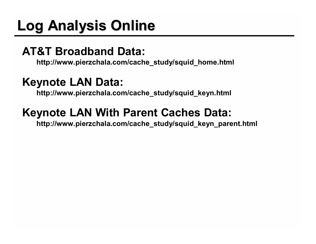# **Log Analysis Online**

#### **AT&T Broadband Data:**

**http://www.pierzchala.com/cache\_study/squid\_home.html**

#### **Keynote LAN Data:**

**http://www.pierzchala.com/cache\_study/squid\_keyn.html**

#### **Keynote LAN With Parent Caches Data:**

**http://www.pierzchala.com/cache\_study/squid\_keyn\_parent.html**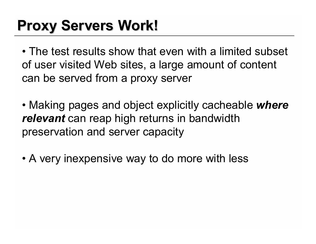## **Proxy Servers Work!**

• The test results show that even with a limited subset of user visited Web sites, a large amount of content can be served from a proxy server

• Making pages and object explicitly cacheable *where relevant* can reap high returns in bandwidth preservation and server capacity

• A very inexpensive way to do more with less